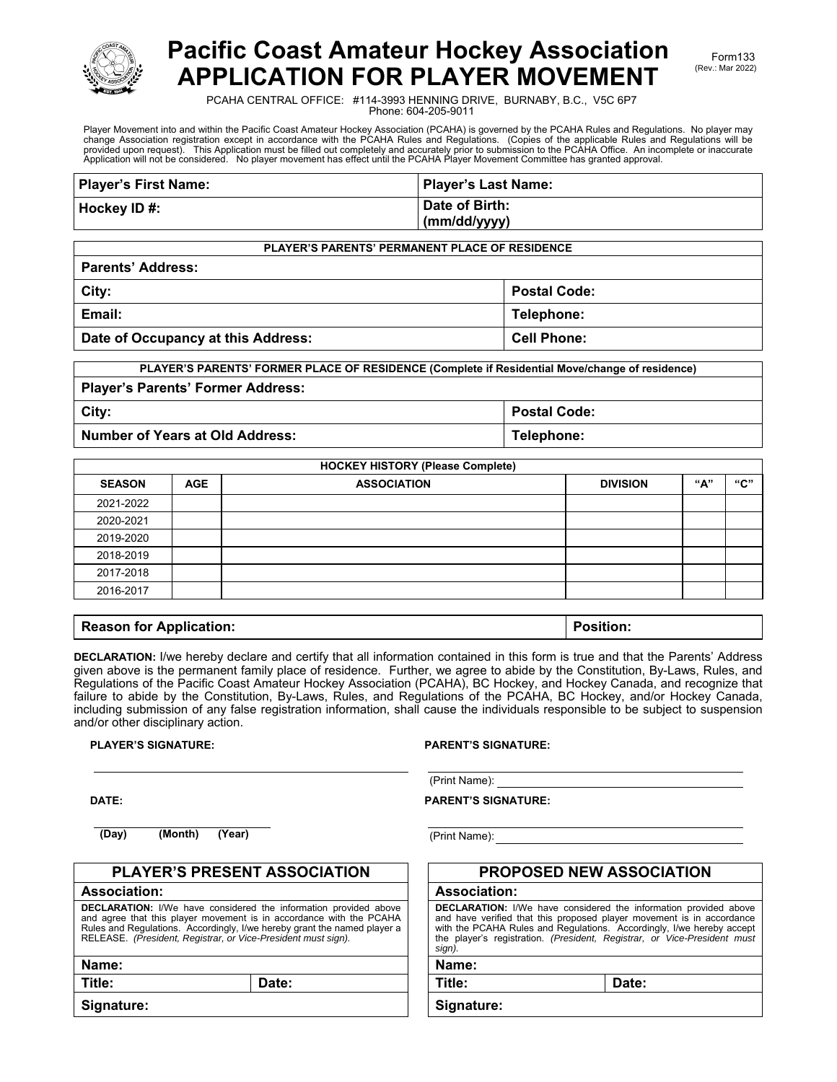

# **Pacific Coast Amateur Hockey Association APPLICATION FOR PLAYER MOVEMENT**

PCAHA CENTRAL OFFICE: #114-3993 HENNING DRIVE, BURNABY, B.C., V5C 6P7 Phone: 604-205-9011

Player Movement into and within the Pacific Coast Amateur Hockey Association (PCAHA) is governed by the PCAHA Rules and Regulations. No player may change Association registration except in accordance with the PCAHA Rules and Regulations. (Copies of the applicable Rules and Regulations will be<br>provided upon request). This Application must be filled out completely an

| <b>Player's First Name:</b> | Player's Last Name: |
|-----------------------------|---------------------|
| Hockey ID#:                 | Date of Birth:      |
|                             | (mm/dd/yyyy)        |

**PLAYER'S PARENTS' PERMANENT PLACE OF RESIDENCE**

| <b>Parents' Address:</b>           |                     |  |  |
|------------------------------------|---------------------|--|--|
| City:                              | <b>Postal Code:</b> |  |  |
| Email:                             | Telephone:          |  |  |
| Date of Occupancy at this Address: | <b>Cell Phone:</b>  |  |  |

| PLAYER'S PARENTS' FORMER PLACE OF RESIDENCE (Complete if Residential Move/change of residence) |                     |  |  |
|------------------------------------------------------------------------------------------------|---------------------|--|--|
| <b>Player's Parents' Former Address:</b>                                                       |                     |  |  |
| City:                                                                                          | <b>Postal Code:</b> |  |  |
| Number of Years at Old Address:                                                                | Telephone:          |  |  |

| <b>SEASON</b> | <b>AGE</b> | <b>ASSOCIATION</b> | <b>DIVISION</b> | "А" | "C" |
|---------------|------------|--------------------|-----------------|-----|-----|
| 2021-2022     |            |                    |                 |     |     |
| 2020-2021     |            |                    |                 |     |     |
| 2019-2020     |            |                    |                 |     |     |
| 2018-2019     |            |                    |                 |     |     |
| 2017-2018     |            |                    |                 |     |     |
| 2016-2017     |            |                    |                 |     |     |

| <b>Reason for Application:</b> | Position: |
|--------------------------------|-----------|
|                                |           |

**DECLARATION:** I/we hereby declare and certify that all information contained in this form is true and that the Parents' Address given above is the permanent family place of residence. Further, we agree to abide by the Constitution, By-Laws, Rules, and Regulations of the Pacific Coast Amateur Hockey Association (PCAHA), BC Hockey, and Hockey Canada, and recognize that failure to abide by the Constitution, By-Laws, Rules, and Regulations of the PCAHA, BC Hockey, and/or Hockey Canada, including submission of any false registration information, shall cause the individuals responsible to be subject to suspension and/or other disciplinary action.

#### **PLAYER'S SIGNATURE: PARENT'S SIGNATURE:**

**DATE:** 

(Print Name):

#### **PARENT'S SIGNATURE:**

**(Day) (Month) (Year)** (Print Name):

|                                                                                                                                                                                                                                                                                             | <b>PLAYER'S PRESENT ASSOCIATION</b> | <b>PROPOSED NEW ASSOCIATION</b>                                                                                                                                                                                                                                                 |       |  |
|---------------------------------------------------------------------------------------------------------------------------------------------------------------------------------------------------------------------------------------------------------------------------------------------|-------------------------------------|---------------------------------------------------------------------------------------------------------------------------------------------------------------------------------------------------------------------------------------------------------------------------------|-------|--|
| <b>Association:</b>                                                                                                                                                                                                                                                                         |                                     | <b>Association:</b>                                                                                                                                                                                                                                                             |       |  |
| <b>DECLARATION:</b> I/We have considered the information provided above<br>and agree that this player movement is in accordance with the PCAHA<br>Rules and Regulations. Accordingly, I/we hereby grant the named player a<br>RELEASE. (President, Registrar, or Vice-President must sign). |                                     | <b>DECLARATION:</b> I/We have considered the information provident<br>and have verified that this proposed player movement is in a<br>with the PCAHA Rules and Regulations. Accordingly, I/we here<br>the player's registration. (President, Registrar, or Vice-Presi<br>sign). |       |  |
| Name:                                                                                                                                                                                                                                                                                       |                                     | Name:                                                                                                                                                                                                                                                                           |       |  |
| Title:                                                                                                                                                                                                                                                                                      | Date:                               | Title:                                                                                                                                                                                                                                                                          | Date: |  |
| Signature:                                                                                                                                                                                                                                                                                  |                                     | Signature:                                                                                                                                                                                                                                                                      |       |  |

| <b>PROPOSED NEW ASSOCIATION</b>                                                                                                                                                                                                                                                                                 |       |  |  |
|-----------------------------------------------------------------------------------------------------------------------------------------------------------------------------------------------------------------------------------------------------------------------------------------------------------------|-------|--|--|
| <b>Association:</b>                                                                                                                                                                                                                                                                                             |       |  |  |
| <b>DECLARATION:</b> I/We have considered the information provided above<br>and have verified that this proposed player movement is in accordance<br>with the PCAHA Rules and Regulations. Accordingly, I/we hereby accept<br>the player's registration. (President, Registrar, or Vice-President must<br>sign). |       |  |  |
| Name:                                                                                                                                                                                                                                                                                                           |       |  |  |
| Title:                                                                                                                                                                                                                                                                                                          | Date: |  |  |
| Signature:                                                                                                                                                                                                                                                                                                      |       |  |  |